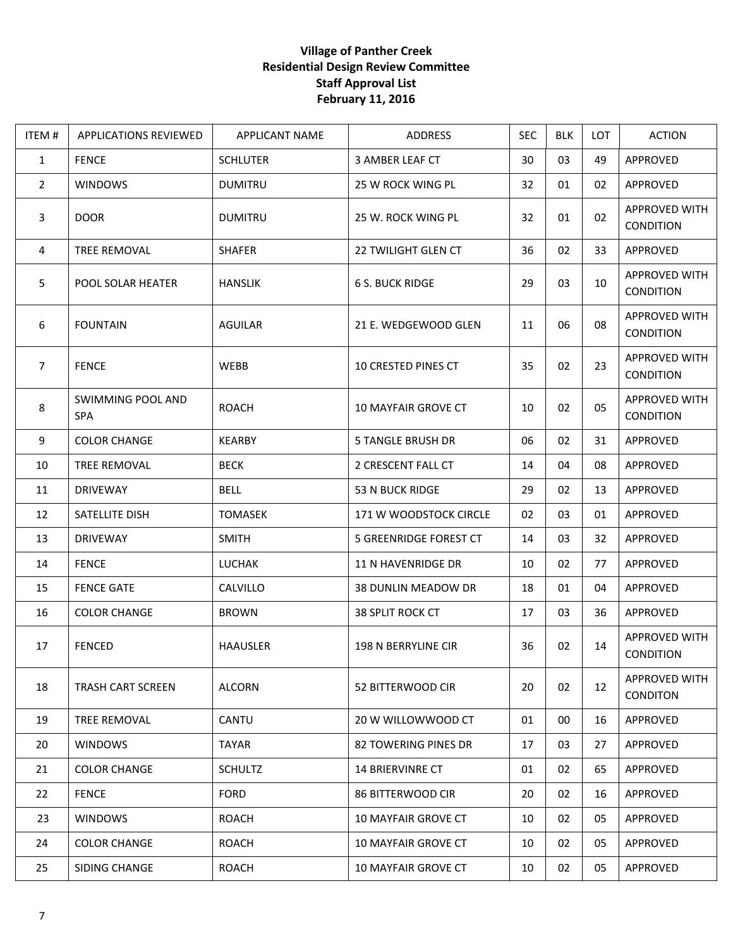## **Village of Panther Creek Residential Design Review Committee Staff Approval List February 11, 2016**

| ITEM#          | <b>APPLICATIONS REVIEWED</b>    | <b>APPLICANT NAME</b> | ADDRESS                       | <b>SEC</b> | <b>BLK</b> | LOT | <b>ACTION</b>                     |
|----------------|---------------------------------|-----------------------|-------------------------------|------------|------------|-----|-----------------------------------|
| $\mathbf{1}$   | <b>FENCE</b>                    | <b>SCHLUTER</b>       | 3 AMBER LEAF CT               | 30         | 03         | 49  | APPROVED                          |
| $\overline{2}$ | <b>WINDOWS</b>                  | <b>DUMITRU</b>        | 25 W ROCK WING PL             | 32         | 01         | 02  | APPROVED                          |
| 3              | <b>DOOR</b>                     | <b>DUMITRU</b>        | 25 W. ROCK WING PL            | 32         | 01         | 02  | APPROVED WITH<br>CONDITION        |
| 4              | TREE REMOVAL                    | <b>SHAFER</b>         | 22 TWILIGHT GLEN CT           | 36         | 02         | 33  | APPROVED                          |
| 5              | POOL SOLAR HEATER               | <b>HANSLIK</b>        | <b>6 S. BUCK RIDGE</b>        | 29         | 03         | 10  | APPROVED WITH<br>CONDITION        |
| 6              | <b>FOUNTAIN</b>                 | <b>AGUILAR</b>        | 21 E. WEDGEWOOD GLEN          | 11         | 06         | 08  | APPROVED WITH<br><b>CONDITION</b> |
| $\overline{7}$ | <b>FENCE</b>                    | WEBB                  | 10 CRESTED PINES CT           | 35         | 02         | 23  | APPROVED WITH<br>CONDITION        |
| 8              | SWIMMING POOL AND<br><b>SPA</b> | <b>ROACH</b>          | <b>10 MAYFAIR GROVE CT</b>    | 10         | 02         | 05  | APPROVED WITH<br>CONDITION        |
| 9              | <b>COLOR CHANGE</b>             | <b>KEARBY</b>         | <b>5 TANGLE BRUSH DR</b>      | 06         | 02         | 31  | APPROVED                          |
| 10             | <b>TREE REMOVAL</b>             | <b>BECK</b>           | 2 CRESCENT FALL CT            | 14         | 04         | 08  | APPROVED                          |
| 11             | <b>DRIVEWAY</b>                 | <b>BELL</b>           | 53 N BUCK RIDGE               | 29         | 02         | 13  | APPROVED                          |
| 12             | SATELLITE DISH                  | <b>TOMASEK</b>        | 171 W WOODSTOCK CIRCLE        | 02         | 03         | 01  | APPROVED                          |
| 13             | <b>DRIVEWAY</b>                 | <b>SMITH</b>          | <b>5 GREENRIDGE FOREST CT</b> | 14         | 03         | 32  | APPROVED                          |
| 14             | <b>FENCE</b>                    | <b>LUCHAK</b>         | 11 N HAVENRIDGE DR            | 10         | 02         | 77  | APPROVED                          |
| 15             | <b>FENCE GATE</b>               | CALVILLO              | <b>38 DUNLIN MEADOW DR</b>    | 18         | 01         | 04  | APPROVED                          |
| 16             | <b>COLOR CHANGE</b>             | <b>BROWN</b>          | 38 SPLIT ROCK CT              | 17         | 03         | 36  | APPROVED                          |
| 17             | <b>FENCED</b>                   | <b>HAAUSLER</b>       | 198 N BERRYLINE CIR           | 36         | 02         | 14  | APPROVED WITH<br>CONDITION        |
| 18             | <b>TRASH CART SCREEN</b>        | <b>ALCORN</b>         | 52 BITTERWOOD CIR             | 20         | 02         | 12  | APPROVED WITH<br><b>CONDITON</b>  |
| 19             | <b>TREE REMOVAL</b>             | CANTU                 | 20 W WILLOWWOOD CT            | 01         | $00\,$     | 16  | APPROVED                          |
| 20             | <b>WINDOWS</b>                  | TAYAR                 | 82 TOWERING PINES DR          | 17         | 03         | 27  | APPROVED                          |
| 21             | <b>COLOR CHANGE</b>             | <b>SCHULTZ</b>        | <b>14 BRIERVINRE CT</b>       | 01         | 02         | 65  | APPROVED                          |
| 22             | <b>FENCE</b>                    | <b>FORD</b>           | <b>86 BITTERWOOD CIR</b>      | 20         | 02         | 16  | <b>APPROVED</b>                   |
| 23             | <b>WINDOWS</b>                  | <b>ROACH</b>          | <b>10 MAYFAIR GROVE CT</b>    | 10         | 02         | 05  | APPROVED                          |
| 24             | <b>COLOR CHANGE</b>             | <b>ROACH</b>          | 10 MAYFAIR GROVE CT           | 10         | 02         | 05  | APPROVED                          |
| 25             | SIDING CHANGE                   | <b>ROACH</b>          | 10 MAYFAIR GROVE CT           | 10         | 02         | 05  | APPROVED                          |